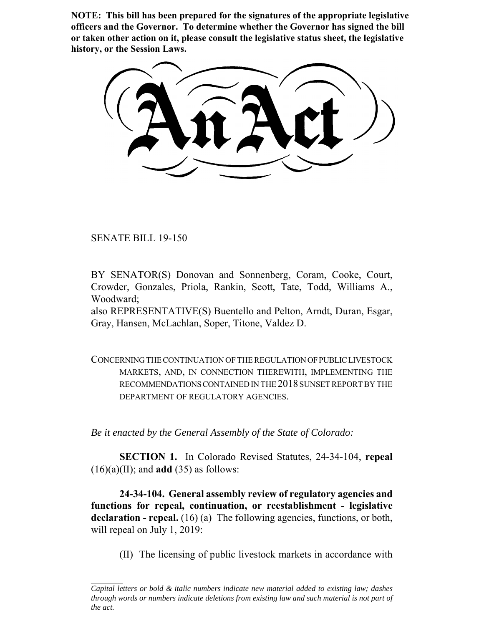**NOTE: This bill has been prepared for the signatures of the appropriate legislative officers and the Governor. To determine whether the Governor has signed the bill or taken other action on it, please consult the legislative status sheet, the legislative history, or the Session Laws.**

SENATE BILL 19-150

BY SENATOR(S) Donovan and Sonnenberg, Coram, Cooke, Court, Crowder, Gonzales, Priola, Rankin, Scott, Tate, Todd, Williams A., Woodward;

also REPRESENTATIVE(S) Buentello and Pelton, Arndt, Duran, Esgar, Gray, Hansen, McLachlan, Soper, Titone, Valdez D.

CONCERNING THE CONTINUATION OF THE REGULATION OF PUBLIC LIVESTOCK MARKETS, AND, IN CONNECTION THEREWITH, IMPLEMENTING THE RECOMMENDATIONS CONTAINED IN THE 2018 SUNSET REPORT BY THE DEPARTMENT OF REGULATORY AGENCIES.

*Be it enacted by the General Assembly of the State of Colorado:*

**SECTION 1.** In Colorado Revised Statutes, 24-34-104, **repeal**  $(16)(a)(II)$ ; and **add**  $(35)$  as follows:

**24-34-104. General assembly review of regulatory agencies and functions for repeal, continuation, or reestablishment - legislative** declaration - repeal. (16) (a) The following agencies, functions, or both, will repeal on July 1, 2019:

(II) The licensing of public livestock markets in accordance with

*Capital letters or bold & italic numbers indicate new material added to existing law; dashes through words or numbers indicate deletions from existing law and such material is not part of the act.*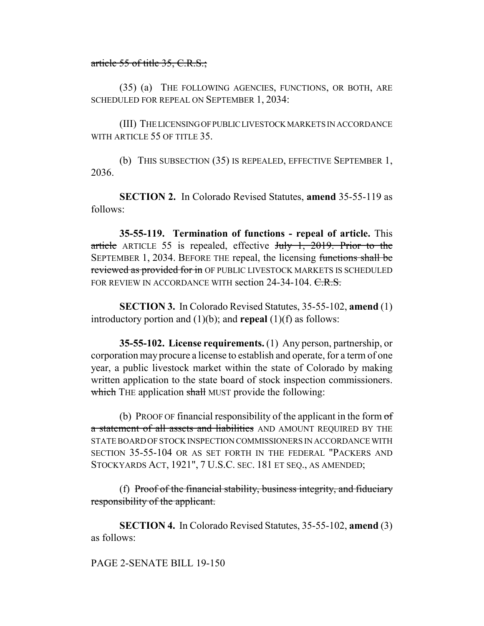## article 55 of title 35, C.R.S.;

(35) (a) THE FOLLOWING AGENCIES, FUNCTIONS, OR BOTH, ARE SCHEDULED FOR REPEAL ON SEPTEMBER 1, 2034:

(III) THE LICENSING OF PUBLIC LIVESTOCK MARKETS IN ACCORDANCE WITH ARTICLE 55 OF TITLE 35.

(b) THIS SUBSECTION (35) IS REPEALED, EFFECTIVE SEPTEMBER 1, 2036.

**SECTION 2.** In Colorado Revised Statutes, **amend** 35-55-119 as follows:

**35-55-119. Termination of functions - repeal of article.** This article ARTICLE 55 is repealed, effective July 1, 2019. Prior to the SEPTEMBER 1, 2034. BEFORE THE repeal, the licensing functions shall be reviewed as provided for in OF PUBLIC LIVESTOCK MARKETS IS SCHEDULED FOR REVIEW IN ACCORDANCE WITH section 24-34-104.  $C.R.S.$ 

**SECTION 3.** In Colorado Revised Statutes, 35-55-102, **amend** (1) introductory portion and (1)(b); and **repeal** (1)(f) as follows:

**35-55-102. License requirements.** (1) Any person, partnership, or corporation may procure a license to establish and operate, for a term of one year, a public livestock market within the state of Colorado by making written application to the state board of stock inspection commissioners. which THE application shall MUST provide the following:

(b) PROOF OF financial responsibility of the applicant in the form  $\sigma f$ a statement of all assets and liabilities AND AMOUNT REQUIRED BY THE STATE BOARD OF STOCK INSPECTION COMMISSIONERS IN ACCORDANCE WITH SECTION 35-55-104 OR AS SET FORTH IN THE FEDERAL "PACKERS AND STOCKYARDS ACT, 1921", 7 U.S.C. SEC. 181 ET SEQ., AS AMENDED;

(f) Proof of the financial stability, business integrity, and fiduciary responsibility of the applicant.

**SECTION 4.** In Colorado Revised Statutes, 35-55-102, **amend** (3) as follows:

## PAGE 2-SENATE BILL 19-150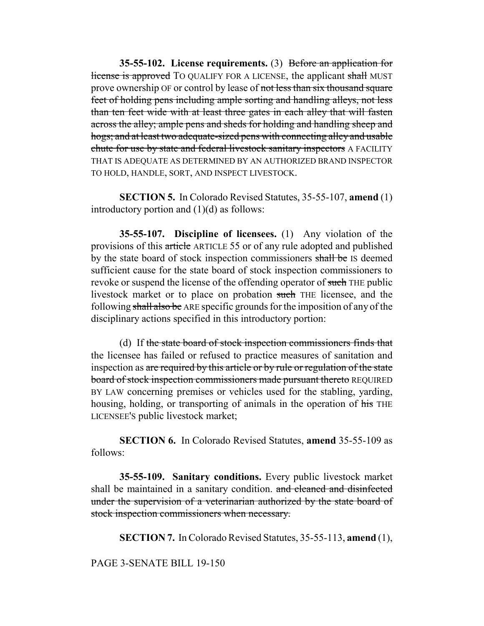**35-55-102. License requirements.** (3) Before an application for license is approved TO QUALIFY FOR A LICENSE, the applicant shall MUST prove ownership OF or control by lease of not less than six thousand square feet of holding pens including ample sorting and handling alleys, not less than ten feet wide with at least three gates in each alley that will fasten across the alley; ample pens and sheds for holding and handling sheep and hogs; and at least two adequate-sized pens with connecting alley and usable chute for use by state and federal livestock sanitary inspectors A FACILITY THAT IS ADEQUATE AS DETERMINED BY AN AUTHORIZED BRAND INSPECTOR TO HOLD, HANDLE, SORT, AND INSPECT LIVESTOCK.

**SECTION 5.** In Colorado Revised Statutes, 35-55-107, **amend** (1) introductory portion and  $(1)(d)$  as follows:

**35-55-107. Discipline of licensees.** (1) Any violation of the provisions of this article ARTICLE 55 or of any rule adopted and published by the state board of stock inspection commissioners shall be IS deemed sufficient cause for the state board of stock inspection commissioners to revoke or suspend the license of the offending operator of such THE public livestock market or to place on probation such THE licensee, and the following shall also be ARE specific grounds for the imposition of any of the disciplinary actions specified in this introductory portion:

(d) If the state board of stock inspection commissioners finds that the licensee has failed or refused to practice measures of sanitation and inspection as are required by this article or by rule or regulation of the state board of stock inspection commissioners made pursuant thereto REQUIRED BY LAW concerning premises or vehicles used for the stabling, yarding, housing, holding, or transporting of animals in the operation of his THE LICENSEE'S public livestock market;

**SECTION 6.** In Colorado Revised Statutes, **amend** 35-55-109 as follows:

**35-55-109. Sanitary conditions.** Every public livestock market shall be maintained in a sanitary condition. and cleaned and disinfected under the supervision of a veterinarian authorized by the state board of stock inspection commissioners when necessary.

**SECTION 7.** In Colorado Revised Statutes, 35-55-113, **amend** (1),

PAGE 3-SENATE BILL 19-150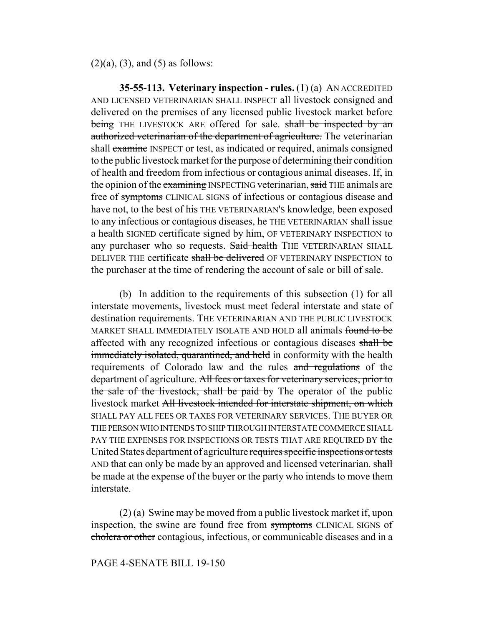$(2)(a)$ ,  $(3)$ , and  $(5)$  as follows:

**35-55-113. Veterinary inspection - rules.** (1) (a) AN ACCREDITED AND LICENSED VETERINARIAN SHALL INSPECT all livestock consigned and delivered on the premises of any licensed public livestock market before being THE LIVESTOCK ARE offered for sale. shall be inspected by an authorized veterinarian of the department of agriculture. The veterinarian shall examine INSPECT or test, as indicated or required, animals consigned to the public livestock market for the purpose of determining their condition of health and freedom from infectious or contagious animal diseases. If, in the opinion of the examining INSPECTING veterinarian, said THE animals are free of symptoms CLINICAL SIGNS of infectious or contagious disease and have not, to the best of his THE VETERINARIAN'S knowledge, been exposed to any infectious or contagious diseases, he THE VETERINARIAN shall issue a health SIGNED certificate signed by him, OF VETERINARY INSPECTION to any purchaser who so requests. Said health THE VETERINARIAN SHALL DELIVER THE certificate shall be delivered OF VETERINARY INSPECTION to the purchaser at the time of rendering the account of sale or bill of sale.

(b) In addition to the requirements of this subsection (1) for all interstate movements, livestock must meet federal interstate and state of destination requirements. THE VETERINARIAN AND THE PUBLIC LIVESTOCK MARKET SHALL IMMEDIATELY ISOLATE AND HOLD all animals found to be affected with any recognized infectious or contagious diseases shall be immediately isolated, quarantined, and held in conformity with the health requirements of Colorado law and the rules and regulations of the department of agriculture. All fees or taxes for veterinary services, prior to the sale of the livestock, shall be paid by The operator of the public livestock market All livestock intended for interstate shipment, on which SHALL PAY ALL FEES OR TAXES FOR VETERINARY SERVICES. THE BUYER OR THE PERSON WHO INTENDS TO SHIP THROUGH INTERSTATE COMMERCE SHALL PAY THE EXPENSES FOR INSPECTIONS OR TESTS THAT ARE REQUIRED BY the United States department of agriculture requires specific inspections or tests AND that can only be made by an approved and licensed veterinarian. shall be made at the expense of the buyer or the party who intends to move them interstate.

(2) (a) Swine may be moved from a public livestock market if, upon inspection, the swine are found free from symptoms CLINICAL SIGNS of cholera or other contagious, infectious, or communicable diseases and in a

PAGE 4-SENATE BILL 19-150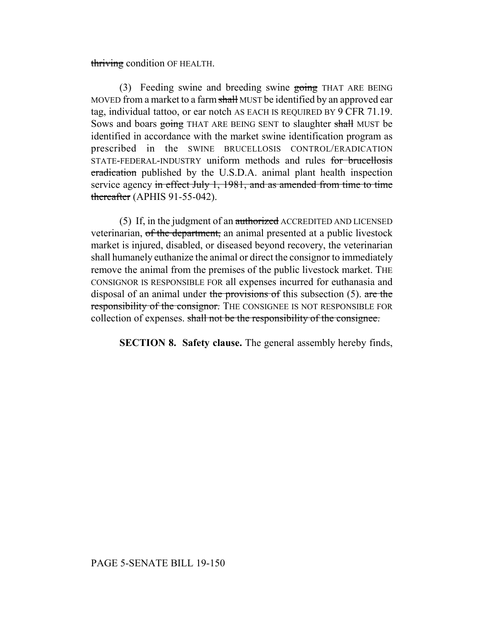thriving condition OF HEALTH.

(3) Feeding swine and breeding swine going THAT ARE BEING MOVED from a market to a farm shall MUST be identified by an approved ear tag, individual tattoo, or ear notch AS EACH IS REQUIRED BY 9 CFR 71.19. Sows and boars going THAT ARE BEING SENT to slaughter shall MUST be identified in accordance with the market swine identification program as prescribed in the SWINE BRUCELLOSIS CONTROL/ERADICATION STATE-FEDERAL-INDUSTRY uniform methods and rules for brucellosis eradication published by the U.S.D.A. animal plant health inspection service agency in effect July 1, 1981, and as amended from time to time thereafter (APHIS 91-55-042).

(5) If, in the judgment of an authorized ACCREDITED AND LICENSED veterinarian, of the department, an animal presented at a public livestock market is injured, disabled, or diseased beyond recovery, the veterinarian shall humanely euthanize the animal or direct the consignor to immediately remove the animal from the premises of the public livestock market. THE CONSIGNOR IS RESPONSIBLE FOR all expenses incurred for euthanasia and disposal of an animal under the provisions of this subsection (5). are the responsibility of the consignor. THE CONSIGNEE IS NOT RESPONSIBLE FOR collection of expenses. shall not be the responsibility of the consignee.

**SECTION 8. Safety clause.** The general assembly hereby finds,